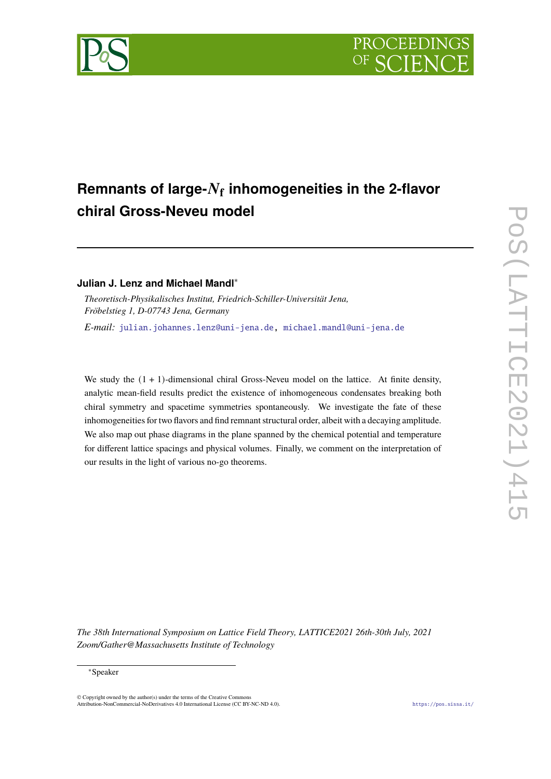



## **Julian J. Lenz and Michael Mandl**<sup>∗</sup>

*Theoretisch-Physikalisches Institut, Friedrich-Schiller-Universität Jena, Fröbelstieg 1, D-07743 Jena, Germany E-mail:* [julian.johannes.lenz@uni-jena.de,](mailto:julian.johannes.lenz@uni-jena.de) [michael.mandl@uni-jena.de](mailto:michael.mandl@uni-jena.de)

We study the  $(1 + 1)$ -dimensional chiral Gross-Neveu model on the lattice. At finite density, analytic mean-field results predict the existence of inhomogeneous condensates breaking both chiral symmetry and spacetime symmetries spontaneously. We investigate the fate of these inhomogeneities for two flavors and find remnant structural order, albeit with a decaying amplitude. We also map out phase diagrams in the plane spanned by the chemical potential and temperature for different lattice spacings and physical volumes. Finally, we comment on the interpretation of our results in the light of various no-go theorems.

*The 38th International Symposium on Lattice Field Theory, LATTICE2021 26th-30th July, 2021 Zoom/Gather@Massachusetts Institute of Technology*

#### <sup>∗</sup>Speaker

© Copyright owned by the author(s) under the terms of the Creative Common Attribution-NonCommercial-NoDerivatives 4.0 International License (CC BY-NC-ND 4.0). <https://pos.sissa.it/>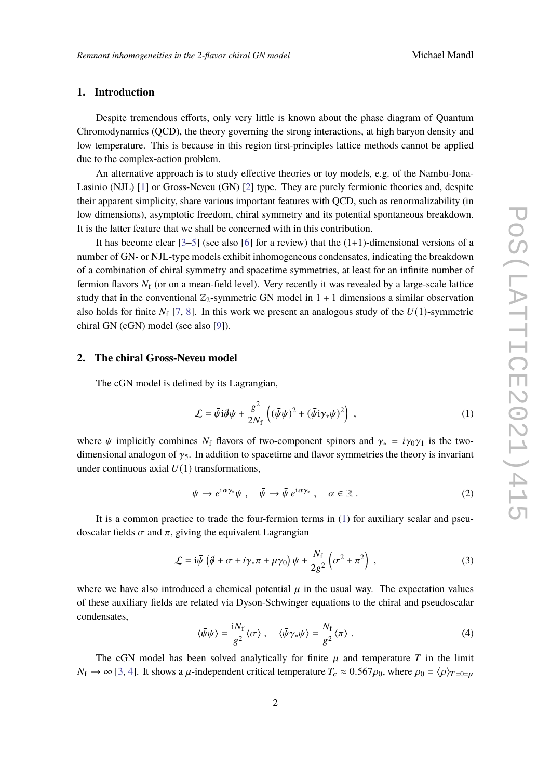### **1. Introduction**

Despite tremendous efforts, only very little is known about the phase diagram of Quantum Chromodynamics (QCD), the theory governing the strong interactions, at high baryon density and low temperature. This is because in this region first-principles lattice methods cannot be applied due to the complex-action problem.

An alternative approach is to study effective theories or toy models, e.g. of the Nambu-Jona-Lasinio (NJL) [\[1\]](#page-7-0) or Gross-Neveu (GN) [\[2\]](#page-7-1) type. They are purely fermionic theories and, despite their apparent simplicity, share various important features with QCD, such as renormalizability (in low dimensions), asymptotic freedom, chiral symmetry and its potential spontaneous breakdown. It is the latter feature that we shall be concerned with in this contribution.

It has become clear  $[3-5]$  $[3-5]$  (see also  $[6]$  for a review) that the  $(1+1)$ -dimensional versions of a number of GN- or NJL-type models exhibit inhomogeneous condensates, indicating the breakdown of a combination of chiral symmetry and spacetime symmetries, at least for an infinite number of fermion flavors  $N_f$  (or on a mean-field level). Very recently it was revealed by a large-scale lattice study that in the conventional  $\mathbb{Z}_2$ -symmetric GN model in 1 + 1 dimensions a similar observation also holds for finite  $N_f$  [\[7,](#page-7-5) [8\]](#page-7-6). In this work we present an analogous study of the  $U(1)$ -symmetric chiral GN (cGN) model (see also [\[9\]](#page-7-7)).

#### **2. The chiral Gross-Neveu model**

The cGN model is defined by its Lagrangian,

<span id="page-1-0"></span>
$$
\mathcal{L} = \bar{\psi}i\partial\psi + \frac{g^2}{2N_f} \left( (\bar{\psi}\psi)^2 + (\bar{\psi}i\gamma_*\psi)^2 \right) , \qquad (1)
$$

where  $\psi$  implicitly combines  $N_f$  flavors of two-component spinors and  $\gamma_* = i\gamma_0\gamma_1$  is the twodimensional analogon of  $\gamma_5$ . In addition to spacetime and flavor symmetries the theory is invariant under continuous axial  $U(1)$  transformations,

$$
\psi \to e^{i\alpha \gamma_*} \psi \ , \quad \bar{\psi} \to \bar{\psi} \, e^{i\alpha \gamma_*} \ , \quad \alpha \in \mathbb{R} \ . \tag{2}
$$

It is a common practice to trade the four-fermion terms in [\(1\)](#page-1-0) for auxiliary scalar and pseudoscalar fields  $\sigma$  and  $\pi$ , giving the equivalent Lagrangian

$$
\mathcal{L} = i\bar{\psi} \left( \partial \!\!\!/ + \sigma + i\gamma_* \pi + \mu \gamma_0 \right) \psi + \frac{N_f}{2g^2} \left( \sigma^2 + \pi^2 \right) \,, \tag{3}
$$

where we have also introduced a chemical potential  $\mu$  in the usual way. The expectation values of these auxiliary fields are related via Dyson-Schwinger equations to the chiral and pseudoscalar condensates,

<span id="page-1-1"></span>
$$
\langle \bar{\psi}\psi \rangle = \frac{iN_f}{g^2} \langle \sigma \rangle \ , \quad \langle \bar{\psi}\gamma_*\psi \rangle = \frac{N_f}{g^2} \langle \pi \rangle \ . \tag{4}
$$

The cGN model has been solved analytically for finite  $\mu$  and temperature T in the limit  $N_f \to \infty$  [\[3,](#page-7-2) [4\]](#page-7-8). It shows a  $\mu$ -independent critical temperature  $T_c \approx 0.567 \rho_0$ , where  $\rho_0 = \langle \rho \rangle_{T=0=\mu}$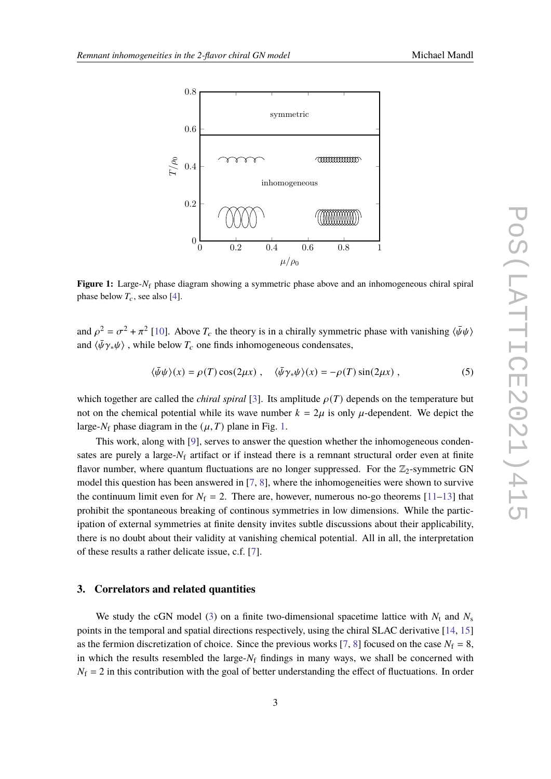<span id="page-2-0"></span>

**Figure 1:** Large- $N_f$  phase diagram showing a symmetric phase above and an inhomogeneous chiral spiral phase below  $T_c$ , see also [\[4\]](#page-7-8).

and  $\rho^2 = \sigma^2 + \pi^2$  [\[10\]](#page-7-9). Above  $T_c$  the theory is in a chirally symmetric phase with vanishing  $\langle \bar{\psi} \psi \rangle$ and  $\langle \bar{\psi} \gamma_* \psi \rangle$  , while below  $T_c$  one finds inhomogeneous condensates,

$$
\langle \bar{\psi}\psi \rangle(x) = \rho(T)\cos(2\mu x) , \quad \langle \bar{\psi}\gamma_*\psi \rangle(x) = -\rho(T)\sin(2\mu x) , \tag{5}
$$

which together are called the *chiral spiral* [\[3\]](#page-7-2). Its amplitude  $\rho(T)$  depends on the temperature but not on the chemical potential while its wave number  $k = 2\mu$  is only  $\mu$ -dependent. We depict the large- $N_f$  phase diagram in the  $(\mu, T)$  plane in Fig. [1.](#page-2-0)

This work, along with [\[9\]](#page-7-7), serves to answer the question whether the inhomogeneous condensates are purely a large- $N_f$  artifact or if instead there is a remnant structural order even at finite flavor number, where quantum fluctuations are no longer suppressed. For the  $\mathbb{Z}_2$ -symmetric GN model this question has been answered in [\[7,](#page-7-5) [8\]](#page-7-6), where the inhomogeneities were shown to survive the continuum limit even for  $N_f = 2$ . There are, however, numerous no-go theorems [\[11](#page-7-10)[–13\]](#page-8-0) that prohibit the spontaneous breaking of continous symmetries in low dimensions. While the participation of external symmetries at finite density invites subtle discussions about their applicability, there is no doubt about their validity at vanishing chemical potential. All in all, the interpretation of these results a rather delicate issue, c.f. [\[7\]](#page-7-5).

#### **3. Correlators and related quantities**

We study the cGN model [\(3\)](#page-1-1) on a finite two-dimensional spacetime lattice with  $N_t$  and  $N_s$ points in the temporal and spatial directions respectively, using the chiral SLAC derivative [\[14,](#page-8-1) [15\]](#page-8-2) as the fermion discretization of choice. Since the previous works [\[7,](#page-7-5) [8\]](#page-7-6) focused on the case  $N_f = 8$ , in which the results resembled the large- $N_f$  findings in many ways, we shall be concerned with  $N_f = 2$  in this contribution with the goal of better understanding the effect of fluctuations. In order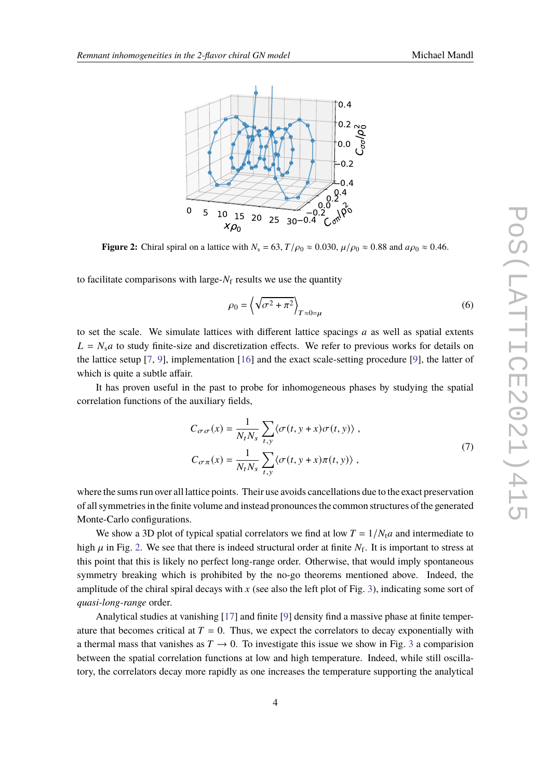<span id="page-3-0"></span>

**Figure 2:** Chiral spiral on a lattice with  $N_s = 63$ ,  $T/\rho_0 \approx 0.030$ ,  $\mu/\rho_0 \approx 0.88$  and  $a\rho_0 \approx 0.46$ .

to facilitate comparisons with large- $N_f$  results we use the quantity

<span id="page-3-1"></span>
$$
\rho_0 = \left\langle \sqrt{\sigma^2 + \pi^2} \right\rangle_{T \approx 0 = \mu} \tag{6}
$$

to set the scale. We simulate lattices with different lattice spacings  $a$  as well as spatial extents  $L = N_s a$  to study finite-size and discretization effects. We refer to previous works for details on the lattice setup [\[7,](#page-7-5) [9\]](#page-7-7), implementation [\[16\]](#page-8-3) and the exact scale-setting procedure [\[9\]](#page-7-7), the latter of which is quite a subtle affair.

It has proven useful in the past to probe for inhomogeneous phases by studying the spatial correlation functions of the auxiliary fields,

$$
C_{\sigma\sigma}(x) = \frac{1}{N_t N_s} \sum_{t,y} \langle \sigma(t, y + x) \sigma(t, y) \rangle,
$$
  
\n
$$
C_{\sigma\pi}(x) = \frac{1}{N_t N_s} \sum_{t,y} \langle \sigma(t, y + x) \pi(t, y) \rangle,
$$
\n(7)

where the sums run over all lattice points. Their use avoids cancellations due to the exact preservation of all symmetries in the finite volume and instead pronounces the common structures of the generated Monte-Carlo configurations.

We show a 3D plot of typical spatial correlators we find at low  $T = 1/N_t a$  and intermediate to high  $\mu$  in Fig. [2.](#page-3-0) We see that there is indeed structural order at finite  $N_f$ . It is important to stress at this point that this is likely no perfect long-range order. Otherwise, that would imply spontaneous symmetry breaking which is prohibited by the no-go theorems mentioned above. Indeed, the amplitude of the chiral spiral decays with  $x$  (see also the left plot of Fig. [3\)](#page-4-0), indicating some sort of *quasi-long-range* order.

Analytical studies at vanishing [\[17\]](#page-8-4) and finite [\[9\]](#page-7-7) density find a massive phase at finite temperature that becomes critical at  $T = 0$ . Thus, we expect the correlators to decay exponentially with a thermal mass that vanishes as  $T \rightarrow 0$ . To investigate this issue we show in Fig. [3](#page-4-0) a comparision between the spatial correlation functions at low and high temperature. Indeed, while still oscillatory, the correlators decay more rapidly as one increases the temperature supporting the analytical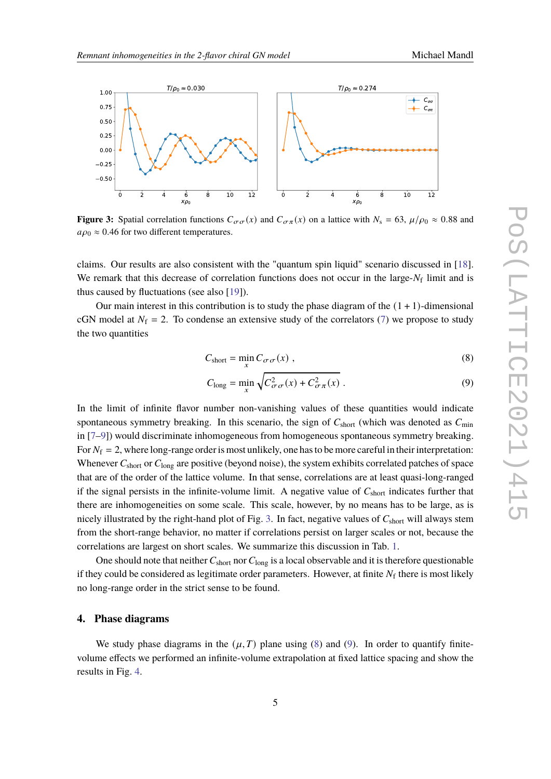<span id="page-4-0"></span>

**Figure 3:** Spatial correlation functions  $C_{\sigma\sigma}(x)$  and  $C_{\sigma\pi}(x)$  on a lattice with  $N_s = 63$ ,  $\mu/\rho_0 \approx 0.88$  and  $a\rho_0 \approx 0.46$  for two different temperatures.

claims. Our results are also consistent with the "quantum spin liquid" scenario discussed in [\[18\]](#page-8-5). We remark that this decrease of correlation functions does not occur in the large- $N_f$  limit and is thus caused by fluctuations (see also [\[19\]](#page-8-6)).

Our main interest in this contribution is to study the phase diagram of the  $(1 + 1)$ -dimensional cGN model at  $N_f = 2$ . To condense an extensive study of the correlators [\(7\)](#page-3-1) we propose to study the two quantities

$$
C_{\text{short}} = \min_{x} C_{\sigma \sigma}(x) , \qquad (8)
$$

<span id="page-4-2"></span><span id="page-4-1"></span>
$$
C_{\text{long}} = \min_{x} \sqrt{C_{\sigma\sigma}^2(x) + C_{\sigma\pi}^2(x)} \,. \tag{9}
$$

In the limit of infinite flavor number non-vanishing values of these quantities would indicate spontaneous symmetry breaking. In this scenario, the sign of  $C_{short}$  (which was denoted as  $C_{min}$ in [\[7](#page-7-5)[–9\]](#page-7-7)) would discriminate inhomogeneous from homogeneous spontaneous symmetry breaking. For  $N_f = 2$ , where long-range order is most unlikely, one has to be more careful in their interpretation: Whenever  $C_{short}$  or  $C_{long}$  are positive (beyond noise), the system exhibits correlated patches of space that are of the order of the lattice volume. In that sense, correlations are at least quasi-long-ranged if the signal persists in the infinite-volume limit. A negative value of  $C_{short}$  indicates further that there are inhomogeneities on some scale. This scale, however, by no means has to be large, as is nicely illustrated by the right-hand plot of Fig. [3.](#page-4-0) In fact, negative values of  $C_{short}$  will always stem from the short-range behavior, no matter if correlations persist on larger scales or not, because the correlations are largest on short scales. We summarize this discussion in Tab. [1.](#page-5-0)

One should note that neither  $C_{short}$  nor  $C_{long}$  is a local observable and it is therefore questionable if they could be considered as legitimate order parameters. However, at finite  $N_f$  there is most likely no long-range order in the strict sense to be found.

#### **4. Phase diagrams**

We study phase diagrams in the  $(\mu, T)$  plane using [\(8\)](#page-4-1) and [\(9\)](#page-4-2). In order to quantify finitevolume effects we performed an infinite-volume extrapolation at fixed lattice spacing and show the results in Fig. [4.](#page-6-0)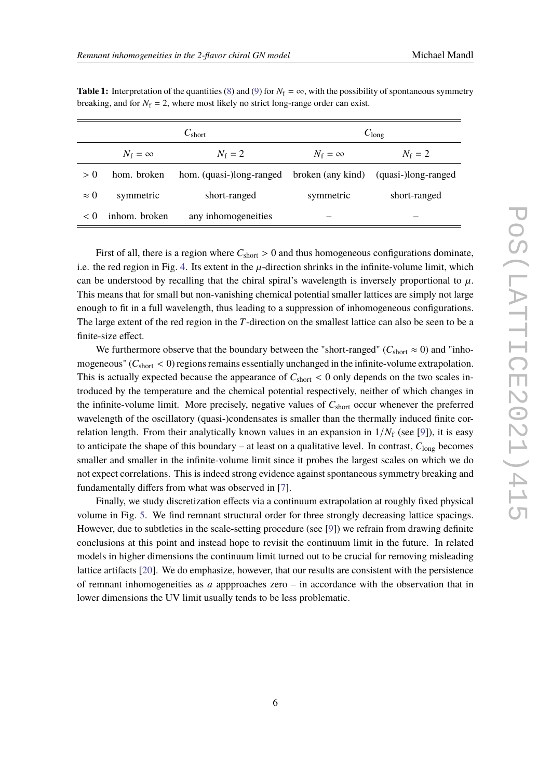|             | $C_{short}$    |                                                                | $C_{\text{long}}$  |               |
|-------------|----------------|----------------------------------------------------------------|--------------------|---------------|
|             | $N_f = \infty$ | $N_{\rm f}=2$                                                  | $N_{\rm f}=\infty$ | $N_{\rm f}=2$ |
| > 0         | hom. broken    | hom. (quasi-)long-ranged broken (any kind) (quasi-)long-ranged |                    |               |
| $\approx$ 0 | symmetric      | short-ranged                                                   | symmetric          | short-ranged  |
| < 0         | inhom. broken  | any inhomogeneities                                            |                    |               |

<span id="page-5-0"></span>**Table 1:** Interpretation of the quantities [\(8\)](#page-4-1) and [\(9\)](#page-4-2) for  $N_f = \infty$ , with the possibility of spontaneous symmetry breaking, and for  $N_f = 2$ , where most likely no strict long-range order can exist.

First of all, there is a region where  $C_{short} > 0$  and thus homogeneous configurations dominate, i.e. the red region in Fig. [4.](#page-6-0) Its extent in the  $\mu$ -direction shrinks in the infinite-volume limit, which can be understood by recalling that the chiral spiral's wavelength is inversely proportional to  $\mu$ . This means that for small but non-vanishing chemical potential smaller lattices are simply not large enough to fit in a full wavelength, thus leading to a suppression of inhomogeneous configurations. The large extent of the red region in the  $T$ -direction on the smallest lattice can also be seen to be a finite-size effect.

We furthermore observe that the boundary between the "short-ranged" ( $C_{\text{short}} \approx 0$ ) and "inhomogeneous" ( $C_{short}$  < 0) regions remains essentially unchanged in the infinite-volume extrapolation. This is actually expected because the appearance of  $C_{short} < 0$  only depends on the two scales introduced by the temperature and the chemical potential respectively, neither of which changes in the infinite-volume limit. More precisely, negative values of  $C_{short}$  occur whenever the preferred wavelength of the oscillatory (quasi-)condensates is smaller than the thermally induced finite correlation length. From their analytically known values in an expansion in  $1/N_f$  (see [\[9\]](#page-7-7)), it is easy to anticipate the shape of this boundary – at least on a qualitative level. In contrast,  $C_{\text{long}}$  becomes smaller and smaller in the infinite-volume limit since it probes the largest scales on which we do not expect correlations. This is indeed strong evidence against spontaneous symmetry breaking and fundamentally differs from what was observed in [\[7\]](#page-7-5).

Finally, we study discretization effects via a continuum extrapolation at roughly fixed physical volume in Fig. [5.](#page-6-1) We find remnant structural order for three strongly decreasing lattice spacings. However, due to subtleties in the scale-setting procedure (see [\[9\]](#page-7-7)) we refrain from drawing definite conclusions at this point and instead hope to revisit the continuum limit in the future. In related models in higher dimensions the continuum limit turned out to be crucial for removing misleading lattice artifacts [\[20\]](#page-8-7). We do emphasize, however, that our results are consistent with the persistence of remnant inhomogeneities as  $a$  appproaches zero – in accordance with the observation that in lower dimensions the UV limit usually tends to be less problematic.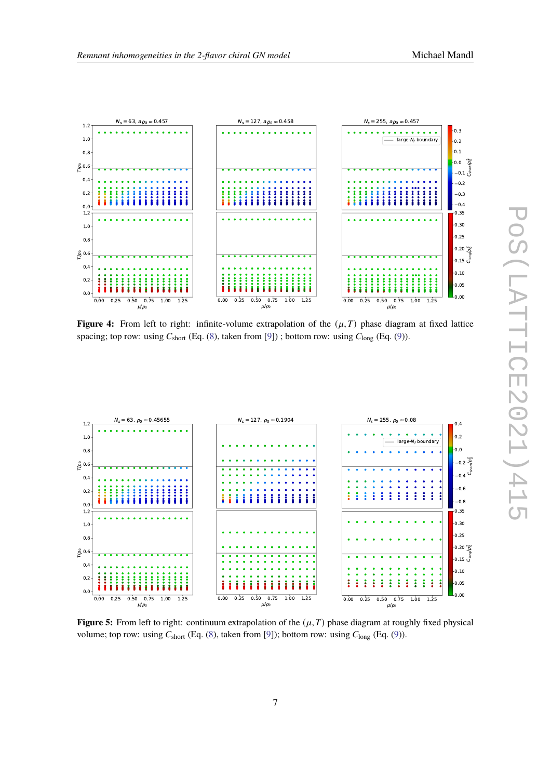<span id="page-6-0"></span>

**Figure 4:** From left to right: infinite-volume extrapolation of the  $(\mu, T)$  phase diagram at fixed lattice spacing; top row: using  $C_{short}$  (Eq. [\(8\)](#page-4-1), taken from [\[9\]](#page-7-7)) ; bottom row: using  $C_{long}$  (Eq. [\(9\)](#page-4-2)).

<span id="page-6-1"></span>

**Figure 5:** From left to right: continuum extrapolation of the  $(\mu, T)$  phase diagram at roughly fixed physical volume; top row: using  $C_{short}$  (Eq. [\(8\)](#page-4-1), taken from [\[9\]](#page-7-7)); bottom row: using  $C_{long}$  (Eq. [\(9\)](#page-4-2)).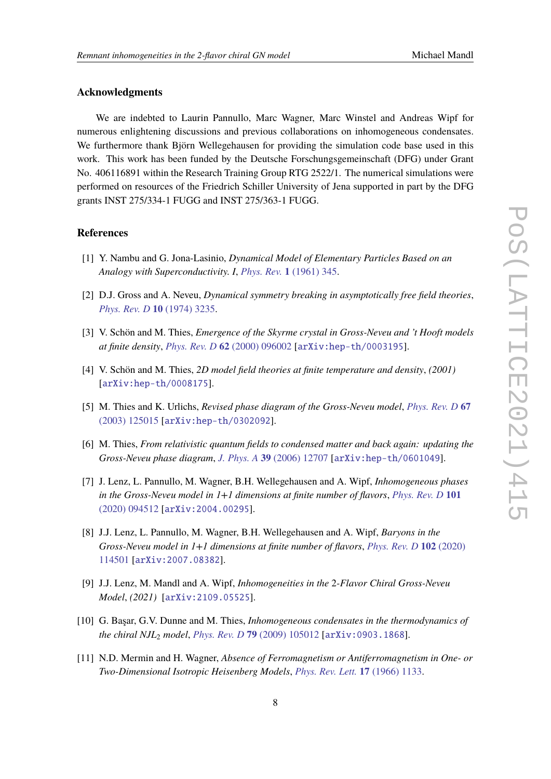# **Acknowledgments**

We are indebted to Laurin Pannullo, Marc Wagner, Marc Winstel and Andreas Wipf for numerous enlightening discussions and previous collaborations on inhomogeneous condensates. We furthermore thank Björn Wellegehausen for providing the simulation code base used in this work. This work has been funded by the Deutsche Forschungsgemeinschaft (DFG) under Grant No. 406116891 within the Research Training Group RTG 2522/1. The numerical simulations were performed on resources of the Friedrich Schiller University of Jena supported in part by the DFG grants INST 275/334-1 FUGG and INST 275/363-1 FUGG.

#### **References**

- <span id="page-7-0"></span>[1] Y. Nambu and G. Jona-Lasinio, *Dynamical Model of Elementary Particles Based on an Analogy with Superconductivity. I*, *Phys. Rev.* **1** [\(1961\) 345.](https://doi.org/10.1103/PhysRev.122.345)
- <span id="page-7-1"></span>[2] D.J. Gross and A. Neveu, *Dynamical symmetry breaking in asymptotically free field theories*, *[Phys. Rev. D](https://doi.org/10.1103/PhysRevD.10.3235)* **10** (1974) 3235.
- <span id="page-7-2"></span>[3] V. Schön and M. Thies, *Emergence of the Skyrme crystal in Gross-Neveu and 't Hooft models at finite density*, *Phys. Rev. D* **62** [\(2000\) 096002](https://doi.org/10.1103/PhysRevD.62.096002) [[arXiv:hep-th/0003195](https://arxiv.org/abs/arXiv:hep-th/0003195)].
- <span id="page-7-8"></span>[4] V. Schön and M. Thies, *2D model field theories at finite temperature and density*, *(2001)* [[arXiv:hep-th/0008175](https://arxiv.org/abs/arXiv:hep-th/0008175)].
- <span id="page-7-3"></span>[5] M. Thies and K. Urlichs, *Revised phase diagram of the Gross-Neveu model*, *[Phys. Rev. D](https://doi.org/10.1103/PhysRevD.67.125015)* **67** [\(2003\) 125015](https://doi.org/10.1103/PhysRevD.67.125015) [[arXiv:hep-th/0302092](https://arxiv.org/abs/arXiv:hep-th/0302092)].
- <span id="page-7-4"></span>[6] M. Thies, *From relativistic quantum fields to condensed matter and back again: updating the Gross-Neveu phase diagram*, *J. Phys. A* **39** [\(2006\) 12707](https://doi.org/10.1088/0305-4470/39/41/S04) [[arXiv:hep-th/0601049](https://arxiv.org/abs/arXiv:hep-th/0601049)].
- <span id="page-7-5"></span>[7] J. Lenz, L. Pannullo, M. Wagner, B.H. Wellegehausen and A. Wipf, *Inhomogeneous phases in the Gross-Neveu model in 1+1 dimensions at finite number of flavors*, *[Phys. Rev. D](https://doi.org/10.1103/PhysRevD.101.094512)* **101** [\(2020\) 094512](https://doi.org/10.1103/PhysRevD.101.094512) [[arXiv:2004.00295](https://arxiv.org/abs/arXiv:2004.00295)].
- <span id="page-7-6"></span>[8] J.J. Lenz, L. Pannullo, M. Wagner, B.H. Wellegehausen and A. Wipf, *Baryons in the Gross-Neveu model in 1+1 dimensions at finite number of flavors*, *[Phys. Rev. D](https://doi.org/10.1103/PhysRevD.102.114501)* **102** (2020) [114501](https://doi.org/10.1103/PhysRevD.102.114501) [[arXiv:2007.08382](https://arxiv.org/abs/arXiv:2007.08382)].
- <span id="page-7-7"></span>[9] J.J. Lenz, M. Mandl and A. Wipf, *Inhomogeneities in the* 2*-Flavor Chiral Gross-Neveu Model*, *(2021)* [[arXiv:2109.05525](https://arxiv.org/abs/arXiv:2109.05525)].
- <span id="page-7-9"></span>[10] G. Başar, G.V. Dunne and M. Thies, *Inhomogeneous condensates in the thermodynamics of the chiral NJL*<sup>2</sup> *model*, *Phys. Rev. D* **79** [\(2009\) 105012](https://doi.org/10.1103/PhysRevD.79.105012) [[arXiv:0903.1868](https://arxiv.org/abs/arXiv:0903.1868)].
- <span id="page-7-10"></span>[11] N.D. Mermin and H. Wagner, *Absence of Ferromagnetism or Antiferromagnetism in One- or Two-Dimensional Isotropic Heisenberg Models*, *[Phys. Rev. Lett.](https://doi.org/10.1103/PhysRevLett.17.1133)* **17** (1966) 1133.